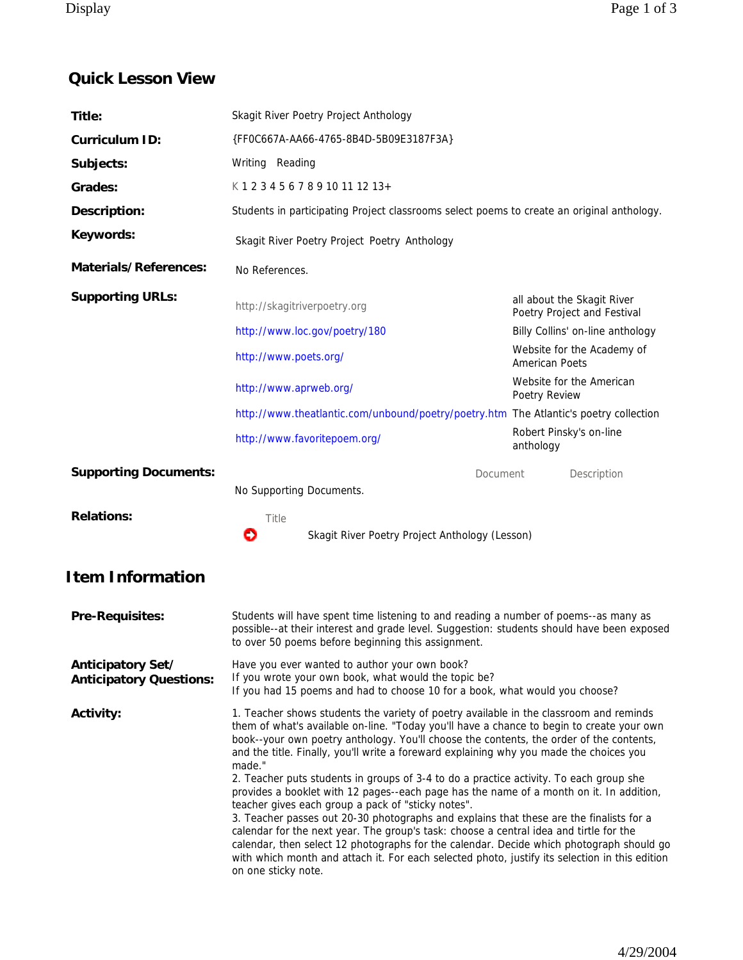## **Quick Lesson View**

| Title:                                              | Skagit River Poetry Project Anthology                                                                                                                                                                                                                                                                                                                                                                                                                                                                                                                                                                                                                                                                                                                                                                                                                                                                                                                                                                             |                                                           |                                  |
|-----------------------------------------------------|-------------------------------------------------------------------------------------------------------------------------------------------------------------------------------------------------------------------------------------------------------------------------------------------------------------------------------------------------------------------------------------------------------------------------------------------------------------------------------------------------------------------------------------------------------------------------------------------------------------------------------------------------------------------------------------------------------------------------------------------------------------------------------------------------------------------------------------------------------------------------------------------------------------------------------------------------------------------------------------------------------------------|-----------------------------------------------------------|----------------------------------|
| Curriculum ID:                                      | {FF0C667A-AA66-4765-8B4D-5B09E3187F3A}                                                                                                                                                                                                                                                                                                                                                                                                                                                                                                                                                                                                                                                                                                                                                                                                                                                                                                                                                                            |                                                           |                                  |
| Subjects:                                           | Writing Reading                                                                                                                                                                                                                                                                                                                                                                                                                                                                                                                                                                                                                                                                                                                                                                                                                                                                                                                                                                                                   |                                                           |                                  |
| Grades:                                             | K12345678910111213+                                                                                                                                                                                                                                                                                                                                                                                                                                                                                                                                                                                                                                                                                                                                                                                                                                                                                                                                                                                               |                                                           |                                  |
| Description:                                        | Students in participating Project classrooms select poems to create an original anthology.                                                                                                                                                                                                                                                                                                                                                                                                                                                                                                                                                                                                                                                                                                                                                                                                                                                                                                                        |                                                           |                                  |
| Keywords:                                           | Skagit River Poetry Project Poetry Anthology                                                                                                                                                                                                                                                                                                                                                                                                                                                                                                                                                                                                                                                                                                                                                                                                                                                                                                                                                                      |                                                           |                                  |
| Materials/References:                               | No References.                                                                                                                                                                                                                                                                                                                                                                                                                                                                                                                                                                                                                                                                                                                                                                                                                                                                                                                                                                                                    |                                                           |                                  |
| <b>Supporting URLs:</b>                             | http://skagitriverpoetry.org                                                                                                                                                                                                                                                                                                                                                                                                                                                                                                                                                                                                                                                                                                                                                                                                                                                                                                                                                                                      | all about the Skagit River<br>Poetry Project and Festival |                                  |
|                                                     | http://www.loc.gov/poetry/180                                                                                                                                                                                                                                                                                                                                                                                                                                                                                                                                                                                                                                                                                                                                                                                                                                                                                                                                                                                     |                                                           | Billy Collins' on-line anthology |
|                                                     | http://www.poets.org/                                                                                                                                                                                                                                                                                                                                                                                                                                                                                                                                                                                                                                                                                                                                                                                                                                                                                                                                                                                             | <b>American Poets</b>                                     | Website for the Academy of       |
|                                                     | http://www.aprweb.org/                                                                                                                                                                                                                                                                                                                                                                                                                                                                                                                                                                                                                                                                                                                                                                                                                                                                                                                                                                                            | Poetry Review                                             | Website for the American         |
|                                                     | http://www.theatlantic.com/unbound/poetry/poetry.htm The Atlantic's poetry collection                                                                                                                                                                                                                                                                                                                                                                                                                                                                                                                                                                                                                                                                                                                                                                                                                                                                                                                             |                                                           |                                  |
|                                                     | http://www.favoritepoem.org/                                                                                                                                                                                                                                                                                                                                                                                                                                                                                                                                                                                                                                                                                                                                                                                                                                                                                                                                                                                      | anthology                                                 | Robert Pinsky's on-line          |
| <b>Supporting Documents:</b>                        | Document                                                                                                                                                                                                                                                                                                                                                                                                                                                                                                                                                                                                                                                                                                                                                                                                                                                                                                                                                                                                          |                                                           | Description                      |
|                                                     | No Supporting Documents.                                                                                                                                                                                                                                                                                                                                                                                                                                                                                                                                                                                                                                                                                                                                                                                                                                                                                                                                                                                          |                                                           |                                  |
| <b>Relations:</b>                                   | Title<br>ο<br>Skagit River Poetry Project Anthology (Lesson)                                                                                                                                                                                                                                                                                                                                                                                                                                                                                                                                                                                                                                                                                                                                                                                                                                                                                                                                                      |                                                           |                                  |
| <b>Item Information</b>                             |                                                                                                                                                                                                                                                                                                                                                                                                                                                                                                                                                                                                                                                                                                                                                                                                                                                                                                                                                                                                                   |                                                           |                                  |
| Pre-Requisites:                                     | Students will have spent time listening to and reading a number of poems--as many as<br>possible--at their interest and grade level. Suggestion: students should have been exposed<br>to over 50 poems before beginning this assignment.                                                                                                                                                                                                                                                                                                                                                                                                                                                                                                                                                                                                                                                                                                                                                                          |                                                           |                                  |
| Anticipatory Set/<br><b>Anticipatory Questions:</b> | Have you ever wanted to author your own book?<br>If you wrote your own book, what would the topic be?<br>If you had 15 poems and had to choose 10 for a book, what would you choose?                                                                                                                                                                                                                                                                                                                                                                                                                                                                                                                                                                                                                                                                                                                                                                                                                              |                                                           |                                  |
| Activity:                                           | 1. Teacher shows students the variety of poetry available in the classroom and reminds<br>them of what's available on-line. "Today you'll have a chance to begin to create your own<br>book--your own poetry anthology. You'll choose the contents, the order of the contents,<br>and the title. Finally, you'll write a foreward explaining why you made the choices you<br>made."<br>2. Teacher puts students in groups of 3-4 to do a practice activity. To each group she<br>provides a booklet with 12 pages--each page has the name of a month on it. In addition,<br>teacher gives each group a pack of "sticky notes".<br>3. Teacher passes out 20-30 photographs and explains that these are the finalists for a<br>calendar for the next year. The group's task: choose a central idea and tirtle for the<br>calendar, then select 12 photographs for the calendar. Decide which photograph should go<br>with which month and attach it. For each selected photo, justify its selection in this edition |                                                           |                                  |

on one sticky note.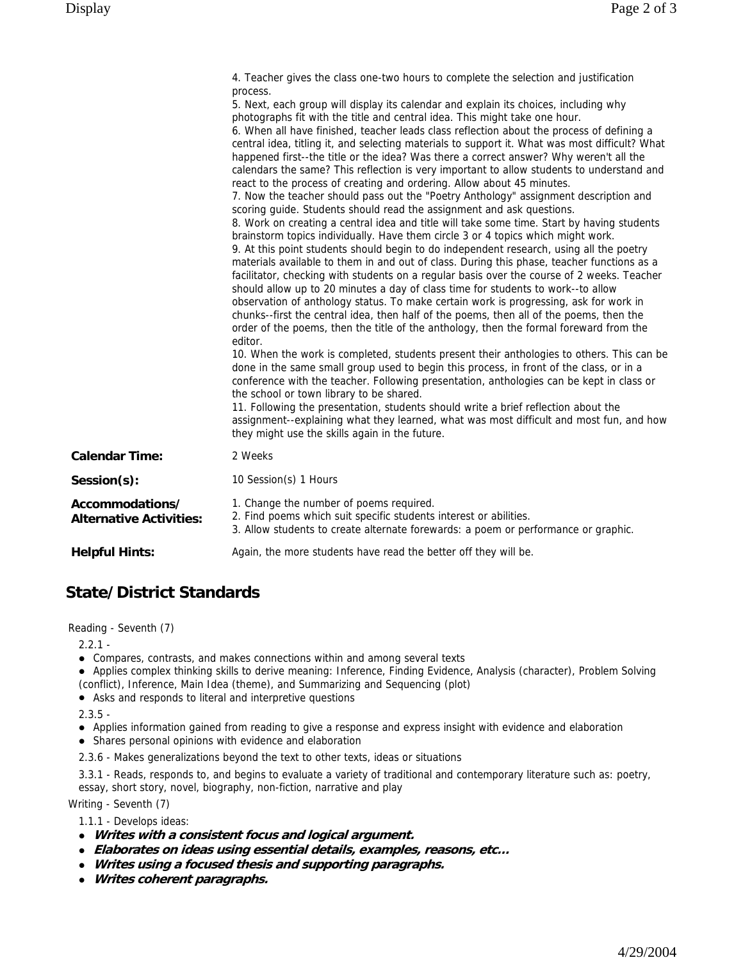|                                                   | 4. Teacher gives the class one-two hours to complete the selection and justification<br>process.<br>5. Next, each group will display its calendar and explain its choices, including why<br>photographs fit with the title and central idea. This might take one hour.<br>6. When all have finished, teacher leads class reflection about the process of defining a<br>central idea, titling it, and selecting materials to support it. What was most difficult? What<br>happened first--the title or the idea? Was there a correct answer? Why weren't all the<br>calendars the same? This reflection is very important to allow students to understand and<br>react to the process of creating and ordering. Allow about 45 minutes.<br>7. Now the teacher should pass out the "Poetry Anthology" assignment description and<br>scoring guide. Students should read the assignment and ask questions.<br>8. Work on creating a central idea and title will take some time. Start by having students<br>brainstorm topics individually. Have them circle 3 or 4 topics which might work.<br>9. At this point students should begin to do independent research, using all the poetry<br>materials available to them in and out of class. During this phase, teacher functions as a<br>facilitator, checking with students on a regular basis over the course of 2 weeks. Teacher<br>should allow up to 20 minutes a day of class time for students to work--to allow<br>observation of anthology status. To make certain work is progressing, ask for work in<br>chunks--first the central idea, then half of the poems, then all of the poems, then the<br>order of the poems, then the title of the anthology, then the formal foreward from the<br>editor.<br>10. When the work is completed, students present their anthologies to others. This can be<br>done in the same small group used to begin this process, in front of the class, or in a<br>conference with the teacher. Following presentation, anthologies can be kept in class or<br>the school or town library to be shared.<br>11. Following the presentation, students should write a brief reflection about the<br>assignment--explaining what they learned, what was most difficult and most fun, and how<br>they might use the skills again in the future. |
|---------------------------------------------------|----------------------------------------------------------------------------------------------------------------------------------------------------------------------------------------------------------------------------------------------------------------------------------------------------------------------------------------------------------------------------------------------------------------------------------------------------------------------------------------------------------------------------------------------------------------------------------------------------------------------------------------------------------------------------------------------------------------------------------------------------------------------------------------------------------------------------------------------------------------------------------------------------------------------------------------------------------------------------------------------------------------------------------------------------------------------------------------------------------------------------------------------------------------------------------------------------------------------------------------------------------------------------------------------------------------------------------------------------------------------------------------------------------------------------------------------------------------------------------------------------------------------------------------------------------------------------------------------------------------------------------------------------------------------------------------------------------------------------------------------------------------------------------------------------------------------------------------------------------------------------------------------------------------------------------------------------------------------------------------------------------------------------------------------------------------------------------------------------------------------------------------------------------------------------------------------------------------------------------------------------------------------------------------------------------------------------------|
| <b>Calendar Time:</b>                             | 2 Weeks                                                                                                                                                                                                                                                                                                                                                                                                                                                                                                                                                                                                                                                                                                                                                                                                                                                                                                                                                                                                                                                                                                                                                                                                                                                                                                                                                                                                                                                                                                                                                                                                                                                                                                                                                                                                                                                                                                                                                                                                                                                                                                                                                                                                                                                                                                                          |
| Session(s):                                       | 10 Session(s) 1 Hours                                                                                                                                                                                                                                                                                                                                                                                                                                                                                                                                                                                                                                                                                                                                                                                                                                                                                                                                                                                                                                                                                                                                                                                                                                                                                                                                                                                                                                                                                                                                                                                                                                                                                                                                                                                                                                                                                                                                                                                                                                                                                                                                                                                                                                                                                                            |
| Accommodations/<br><b>Alternative Activities:</b> | 1. Change the number of poems required.<br>2. Find poems which suit specific students interest or abilities.<br>3. Allow students to create alternate forewards: a poem or performance or graphic.                                                                                                                                                                                                                                                                                                                                                                                                                                                                                                                                                                                                                                                                                                                                                                                                                                                                                                                                                                                                                                                                                                                                                                                                                                                                                                                                                                                                                                                                                                                                                                                                                                                                                                                                                                                                                                                                                                                                                                                                                                                                                                                               |
| <b>Helpful Hints:</b>                             | Again, the more students have read the better off they will be.                                                                                                                                                                                                                                                                                                                                                                                                                                                                                                                                                                                                                                                                                                                                                                                                                                                                                                                                                                                                                                                                                                                                                                                                                                                                                                                                                                                                                                                                                                                                                                                                                                                                                                                                                                                                                                                                                                                                                                                                                                                                                                                                                                                                                                                                  |

## **State/District Standards**

Reading - Seventh (7)

 $2.2.1 -$ 

- ! Compares, contrasts, and makes connections within and among several texts
- ! Applies complex thinking skills to derive meaning: Inference, Finding Evidence, Analysis (character), Problem Solving (conflict), Inference, Main Idea (theme), and Summarizing and Sequencing (plot)
- ! Asks and responds to literal and interpretive questions
- $2.3.5 -$
- ! Applies information gained from reading to give a response and express insight with evidence and elaboration
- ! Shares personal opinions with evidence and elaboration
- 2.3.6 Makes generalizations beyond the text to other texts, ideas or situations
- 3.3.1 Reads, responds to, and begins to evaluate a variety of traditional and contemporary literature such as: poetry, essay, short story, novel, biography, non-fiction, narrative and play

Writing - Seventh (7)

- 1.1.1 Develops ideas:
- ! **Writes with a consistent focus and logical argument.**
- ! **Elaborates on ideas using essential details, examples, reasons, etc…**
- ! **Writes using a focused thesis and supporting paragraphs.**
- ! **Writes coherent paragraphs.**